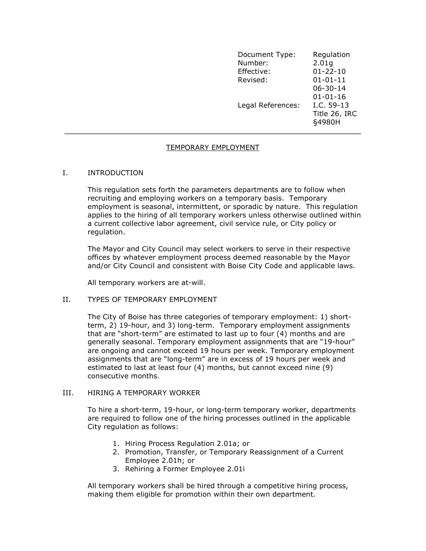| Document Type:<br>Number:<br>Effective: | Regulation<br>2.01g<br>$01 - 22 - 10$              |
|-----------------------------------------|----------------------------------------------------|
| Revised:                                | $01 - 01 - 11$<br>$06 - 30 - 14$<br>$01 - 01 - 16$ |
| Legal References:                       | I.C. 59-13<br>Title 26, IRC<br>§4980H              |

### TEMPORARY EMPLOYMENT

### I. INTRODUCTION

This regulation sets forth the parameters departments are to follow when recruiting and employing workers on a temporary basis. Temporary employment is seasonal, intermittent, or sporadic by nature. This regulation applies to the hiring of all temporary workers unless otherwise outlined within a current collective labor agreement, civil service rule, or City policy or regulation.

The Mayor and City Council may select workers to serve in their respective offices by whatever employment process deemed reasonable by the Mayor and/or City Council and consistent with Boise City Code and applicable laws.

All temporary workers are at-will.

### II. TYPES OF TEMPORARY EMPLOYMENT

The City of Boise has three categories of temporary employment: 1) shortterm, 2) 19-hour, and 3) long-term. Temporary employment assignments that are "short-term" are estimated to last up to four (4) months and are generally seasonal. Temporary employment assignments that are "19-hour" are ongoing and cannot exceed 19 hours per week. Temporary employment assignments that are "long-term" are in excess of 19 hours per week and estimated to last at least four (4) months, but cannot exceed nine (9) consecutive months.

### III. HIRING A TEMPORARY WORKER

To hire a short-term, 19-hour, or long-term temporary worker, departments are required to follow one of the hiring processes outlined in the applicable City regulation as follows:

- 1. Hiring Process Regulation 2.01a; or
- 2. Promotion, Transfer, or Temporary Reassignment of a Current Employee 2.01h; or
- 3. Rehiring a Former Employee 2.01i

All temporary workers shall be hired through a competitive hiring process, making them eligible for promotion within their own department.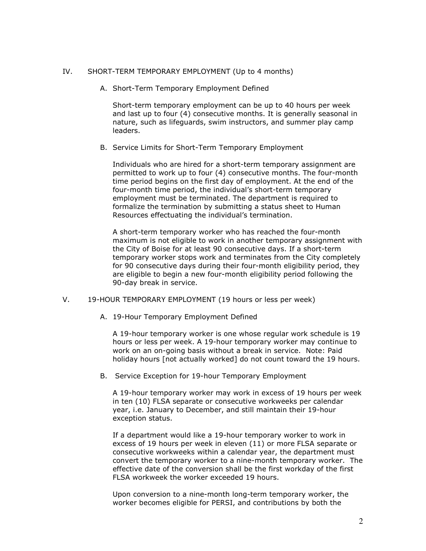#### IV. SHORT-TERM TEMPORARY EMPLOYMENT (Up to 4 months)

A. Short-Term Temporary Employment Defined

Short-term temporary employment can be up to 40 hours per week and last up to four (4) consecutive months. It is generally seasonal in nature, such as lifeguards, swim instructors, and summer play camp leaders.

B. Service Limits for Short-Term Temporary Employment

Individuals who are hired for a short-term temporary assignment are permitted to work up to four (4) consecutive months. The four-month time period begins on the first day of employment. At the end of the four-month time period, the individual's short-term temporary employment must be terminated. The department is required to formalize the termination by submitting a status sheet to Human Resources effectuating the individual's termination.

A short-term temporary worker who has reached the four-month maximum is not eligible to work in another temporary assignment with the City of Boise for at least 90 consecutive days. If a short-term temporary worker stops work and terminates from the City completely for 90 consecutive days during their four-month eligibility period, they are eligible to begin a new four-month eligibility period following the 90-day break in service.

- V. 19-HOUR TEMPORARY EMPLOYMENT (19 hours or less per week)
	- A. 19-Hour Temporary Employment Defined

A 19-hour temporary worker is one whose regular work schedule is 19 hours or less per week. A 19-hour temporary worker may continue to work on an on-going basis without a break in service. Note: Paid holiday hours [not actually worked] do not count toward the 19 hours.

B. Service Exception for 19-hour Temporary Employment

A 19-hour temporary worker may work in excess of 19 hours per week in ten (10) FLSA separate or consecutive workweeks per calendar year, i.e. January to December, and still maintain their 19-hour exception status.

If a department would like a 19-hour temporary worker to work in excess of 19 hours per week in eleven (11) or more FLSA separate or consecutive workweeks within a calendar year, the department must convert the temporary worker to a nine-month temporary worker. The effective date of the conversion shall be the first workday of the first FLSA workweek the worker exceeded 19 hours.

Upon conversion to a nine-month long-term temporary worker, the worker becomes eligible for PERSI, and contributions by both the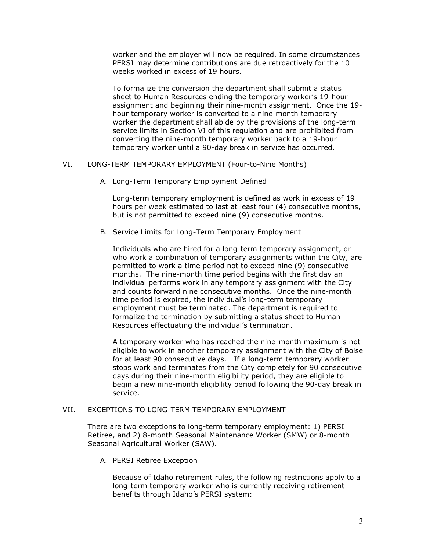worker and the employer will now be required. In some circumstances PERSI may determine contributions are due retroactively for the 10 weeks worked in excess of 19 hours.

To formalize the conversion the department shall submit a status sheet to Human Resources ending the temporary worker's 19-hour assignment and beginning their nine-month assignment. Once the 19 hour temporary worker is converted to a nine-month temporary worker the department shall abide by the provisions of the long-term service limits in Section VI of this regulation and are prohibited from converting the nine-month temporary worker back to a 19-hour temporary worker until a 90-day break in service has occurred.

### VI. LONG-TERM TEMPORARY EMPLOYMENT (Four-to-Nine Months)

A. Long-Term Temporary Employment Defined

Long-term temporary employment is defined as work in excess of 19 hours per week estimated to last at least four (4) consecutive months, but is not permitted to exceed nine (9) consecutive months.

B. Service Limits for Long-Term Temporary Employment

Individuals who are hired for a long-term temporary assignment, or who work a combination of temporary assignments within the City, are permitted to work a time period not to exceed nine (9) consecutive months. The nine-month time period begins with the first day an individual performs work in any temporary assignment with the City and counts forward nine consecutive months. Once the nine-month time period is expired, the individual's long-term temporary employment must be terminated. The department is required to formalize the termination by submitting a status sheet to Human Resources effectuating the individual's termination.

A temporary worker who has reached the nine-month maximum is not eligible to work in another temporary assignment with the City of Boise for at least 90 consecutive days. If a long-term temporary worker stops work and terminates from the City completely for 90 consecutive days during their nine-month eligibility period, they are eligible to begin a new nine-month eligibility period following the 90-day break in service.

## VII. EXCEPTIONS TO LONG-TERM TEMPORARY EMPLOYMENT

There are two exceptions to long-term temporary employment: 1) PERSI Retiree, and 2) 8-month Seasonal Maintenance Worker (SMW) or 8-month Seasonal Agricultural Worker (SAW).

A. PERSI Retiree Exception

Because of Idaho retirement rules, the following restrictions apply to a long-term temporary worker who is currently receiving retirement benefits through Idaho's PERSI system: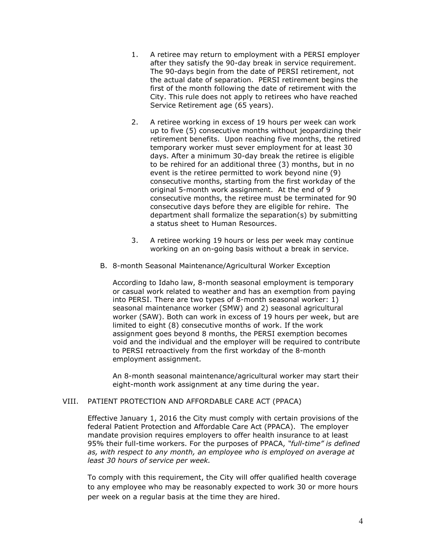- 1. A retiree may return to employment with a PERSI employer after they satisfy the 90-day break in service requirement. The 90-days begin from the date of PERSI retirement, not the actual date of separation. PERSI retirement begins the first of the month following the date of retirement with the City. This rule does not apply to retirees who have reached Service Retirement age (65 years).
- 2. A retiree working in excess of 19 hours per week can work up to five (5) consecutive months without jeopardizing their retirement benefits. Upon reaching five months, the retired temporary worker must sever employment for at least 30 days. After a minimum 30-day break the retiree is eligible to be rehired for an additional three (3) months, but in no event is the retiree permitted to work beyond nine (9) consecutive months, starting from the first workday of the original 5-month work assignment. At the end of 9 consecutive months, the retiree must be terminated for 90 consecutive days before they are eligible for rehire. The department shall formalize the separation(s) by submitting a status sheet to Human Resources.
- 3. A retiree working 19 hours or less per week may continue working on an on-going basis without a break in service.
- B. 8-month Seasonal Maintenance/Agricultural Worker Exception

According to Idaho law, 8-month seasonal employment is temporary or casual work related to weather and has an exemption from paying into PERSI. There are two types of 8-month seasonal worker: 1) seasonal maintenance worker (SMW) and 2) seasonal agricultural worker (SAW). Both can work in excess of 19 hours per week, but are limited to eight (8) consecutive months of work. If the work assignment goes beyond 8 months, the PERSI exemption becomes void and the individual and the employer will be required to contribute to PERSI retroactively from the first workday of the 8-month employment assignment.

An 8-month seasonal maintenance/agricultural worker may start their eight-month work assignment at any time during the year.

# VIII. PATIENT PROTECTION AND AFFORDABLE CARE ACT (PPACA)

Effective January 1, 2016 the City must comply with certain provisions of the federal Patient Protection and Affordable Care Act (PPACA). The employer mandate provision requires employers to offer health insurance to at least 95% their full-time workers. For the purposes of PPACA, "full-time" is defined as, with respect to any month, an employee who is employed on average at least 30 hours of service per week.

To comply with this requirement, the City will offer qualified health coverage to any employee who may be reasonably expected to work 30 or more hours per week on a regular basis at the time they are hired.